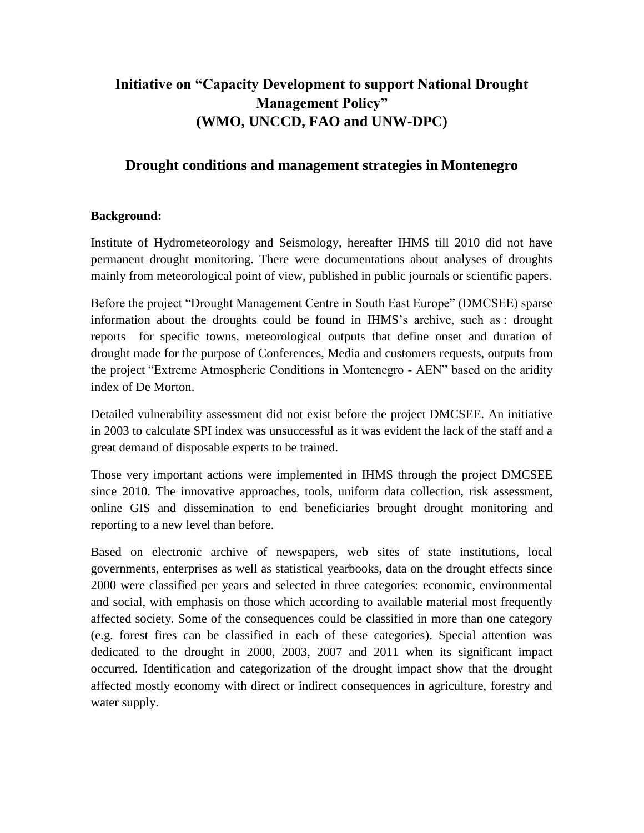## **Initiative on "Capacity Development to support National Drought Management Policy" (WMO, UNCCD, FAO and UNW-DPC)**

## **Drought conditions and management strategies in Montenegro**

#### **Background:**

Institute of Hydrometeorology and Seismology, hereafter IHMS till 2010 did not have permanent drought monitoring. There were documentations about analyses of droughts mainly from meteorological point of view, published in public journals or scientific papers.

Before the project "Drought Management Centre in South East Europe" (DMCSEE) sparse information about the droughts could be found in IHMS's archive, such as : drought reports for specific towns, meteorological outputs that define onset and duration of drought made for the purpose of Conferences, Media and customers requests, outputs from the project "Extreme Atmospheric Conditions in Montenegro - AEN" based on the aridity index of De Morton.

Detailed vulnerability assessment did not exist before the project DMCSEE. An initiative in 2003 to calculate SPI index was unsuccessful as it was evident the lack of the staff and a great demand of disposable experts to be trained.

Those very important actions were implemented in IHMS through the project DMCSEE since 2010. The innovative approaches, tools, uniform data collection, risk assessment, online GIS and dissemination to end beneficiaries brought drought monitoring and reporting to a new level than before.

Based on electronic archive of newspapers, web sites of state institutions, local governments, enterprises as well as statistical yearbooks, data on the drought effects since 2000 were classified per years and selected in three categories: economic, environmental and social, with emphasis on those which according to available material most frequently affected society. Some of the consequences could be classified in more than one category (e.g. forest fires can be classified in each of these categories). Special attention was dedicated to the drought in 2000, 2003, 2007 and 2011 when its significant impact occurred. Identification and categorization of the drought impact show that the drought affected mostly economy with direct or indirect consequences in agriculture, forestry and water supply.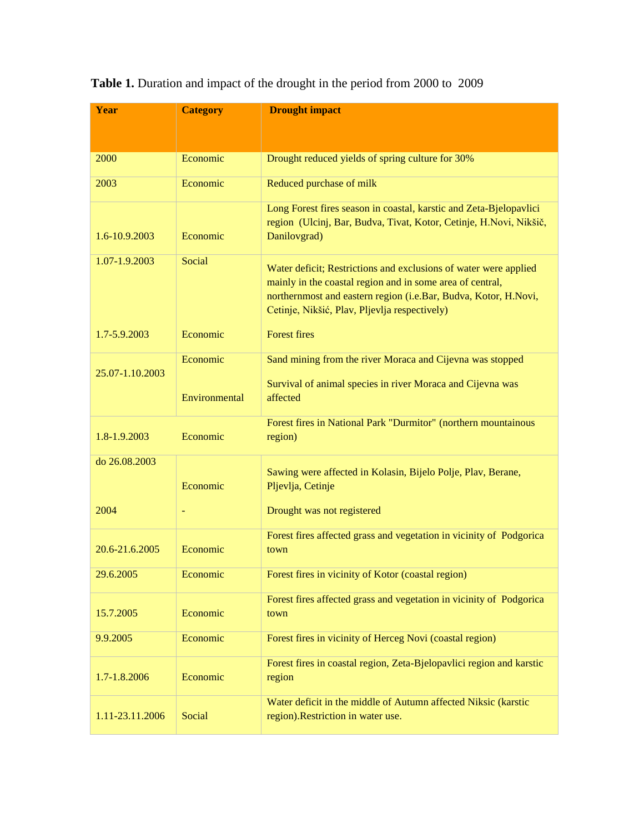| Year            | <b>Category</b> | <b>Drought impact</b>                                                                                                                                                                                                                             |  |  |
|-----------------|-----------------|---------------------------------------------------------------------------------------------------------------------------------------------------------------------------------------------------------------------------------------------------|--|--|
|                 |                 |                                                                                                                                                                                                                                                   |  |  |
|                 |                 |                                                                                                                                                                                                                                                   |  |  |
| 2000            | Economic        | Drought reduced yields of spring culture for 30%                                                                                                                                                                                                  |  |  |
| 2003            | Economic        | Reduced purchase of milk                                                                                                                                                                                                                          |  |  |
| 1.6-10.9.2003   | Economic        | Long Forest fires season in coastal, karstic and Zeta-Bjelopavlici<br>region (Ulcinj, Bar, Budva, Tivat, Kotor, Cetinje, H.Novi, Nikšič,<br>Danilovgrad)                                                                                          |  |  |
| 1.07-1.9.2003   | Social          | Water deficit; Restrictions and exclusions of water were applied<br>mainly in the coastal region and in some area of central,<br>northernmost and eastern region (i.e.Bar, Budva, Kotor, H.Novi,<br>Cetinje, Nikšić, Plav, Pljevlja respectively) |  |  |
| 1.7-5.9.2003    | Economic        | <b>Forest fires</b>                                                                                                                                                                                                                               |  |  |
|                 | Economic        | Sand mining from the river Moraca and Cijevna was stopped                                                                                                                                                                                         |  |  |
| 25.07-1.10.2003 | Environmental   | Survival of animal species in river Moraca and Cijevna was<br>affected                                                                                                                                                                            |  |  |
| 1.8-1.9.2003    | Economic        | Forest fires in National Park "Durmitor" (northern mountainous<br>region)                                                                                                                                                                         |  |  |
| do 26.08.2003   | Economic        | Sawing were affected in Kolasin, Bijelo Polje, Plav, Berane,<br>Pljevlja, Cetinje                                                                                                                                                                 |  |  |
| 2004            |                 | Drought was not registered                                                                                                                                                                                                                        |  |  |
| 20.6-21.6.2005  | Economic        | Forest fires affected grass and vegetation in vicinity of Podgorica<br>town                                                                                                                                                                       |  |  |
| 29.6.2005       | Economic        | Forest fires in vicinity of Kotor (coastal region)                                                                                                                                                                                                |  |  |
| 15.7.2005       | Economic        | Forest fires affected grass and vegetation in vicinity of Podgorica<br>town                                                                                                                                                                       |  |  |
| 9.9.2005        | Economic        | Forest fires in vicinity of Herceg Novi (coastal region)                                                                                                                                                                                          |  |  |
| 1.7-1.8.2006    | Economic        | Forest fires in coastal region, Zeta-Bjelopavlici region and karstic<br>region                                                                                                                                                                    |  |  |
| 1.11-23.11.2006 | Social          | Water deficit in the middle of Autumn affected Niksic (karstic<br>region). Restriction in water use.                                                                                                                                              |  |  |

# **Table 1.** Duration and impact of the drought in the period from 2000 to 2009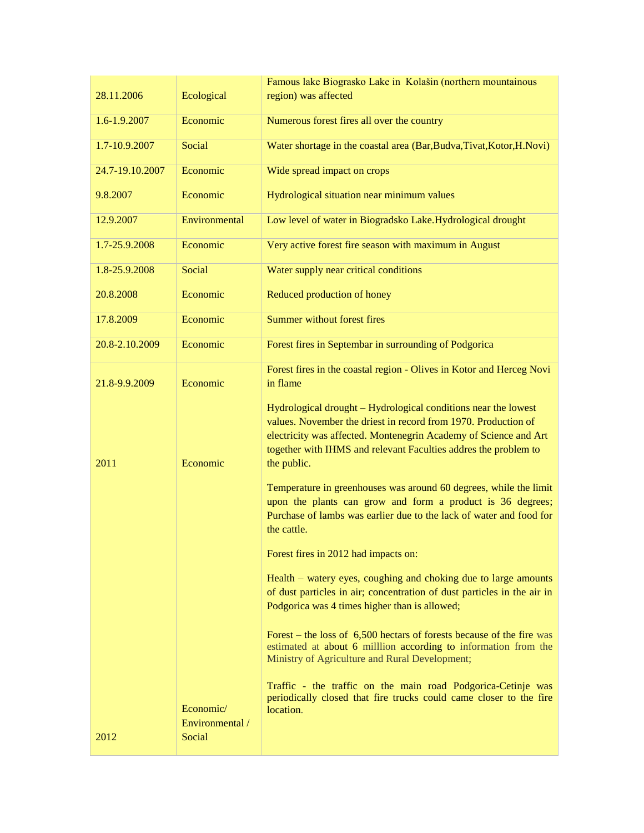|                 |                                        | Famous lake Biograsko Lake in Kolašin (northern mountainous                                                                                                                                                                                                                            |  |
|-----------------|----------------------------------------|----------------------------------------------------------------------------------------------------------------------------------------------------------------------------------------------------------------------------------------------------------------------------------------|--|
| 28.11.2006      | Ecological                             | region) was affected                                                                                                                                                                                                                                                                   |  |
| 1.6-1.9.2007    | Economic                               | Numerous forest fires all over the country                                                                                                                                                                                                                                             |  |
| 1.7-10.9.2007   | Social                                 | Water shortage in the coastal area (Bar,Budva,Tivat,Kotor,H.Novi)                                                                                                                                                                                                                      |  |
| 24.7-19.10.2007 | Economic                               | Wide spread impact on crops                                                                                                                                                                                                                                                            |  |
| 9.8.2007        | Economic                               | Hydrological situation near minimum values                                                                                                                                                                                                                                             |  |
| 12.9.2007       | Environmental                          | Low level of water in Biogradsko Lake.Hydrological drought                                                                                                                                                                                                                             |  |
| 1.7-25.9.2008   | Economic                               | Very active forest fire season with maximum in August                                                                                                                                                                                                                                  |  |
| 1.8-25.9.2008   | Social                                 | Water supply near critical conditions                                                                                                                                                                                                                                                  |  |
| 20.8.2008       | Economic                               | Reduced production of honey                                                                                                                                                                                                                                                            |  |
| 17.8.2009       | Economic                               | Summer without forest fires                                                                                                                                                                                                                                                            |  |
| 20.8-2.10.2009  | Economic                               | Forest fires in Septembar in surrounding of Podgorica                                                                                                                                                                                                                                  |  |
| 21.8-9.9.2009   | Economic                               | Forest fires in the coastal region - Olives in Kotor and Herceg Novi<br>in flame                                                                                                                                                                                                       |  |
| 2011            | Economic                               | Hydrological drought - Hydrological conditions near the lowest<br>values. November the driest in record from 1970. Production of<br>electricity was affected. Montenegrin Academy of Science and Art<br>together with IHMS and relevant Faculties addres the problem to<br>the public. |  |
|                 |                                        | Temperature in greenhouses was around 60 degrees, while the limit<br>upon the plants can grow and form a product is 36 degrees;<br>Purchase of lambs was earlier due to the lack of water and food for<br>the cattle.                                                                  |  |
|                 |                                        | Forest fires in 2012 had impacts on:                                                                                                                                                                                                                                                   |  |
|                 |                                        | Health – watery eyes, coughing and choking due to large amounts<br>of dust particles in air; concentration of dust particles in the air in<br>Podgorica was 4 times higher than is allowed;                                                                                            |  |
|                 |                                        | Forest – the loss of $6,500$ hectars of forests because of the fire was<br>estimated at about 6 million according to information from the<br>Ministry of Agriculture and Rural Development;                                                                                            |  |
| 2012            | Economic/<br>Environmental /<br>Social | Traffic - the traffic on the main road Podgorica-Cetinje was<br>periodically closed that fire trucks could came closer to the fire<br>location.                                                                                                                                        |  |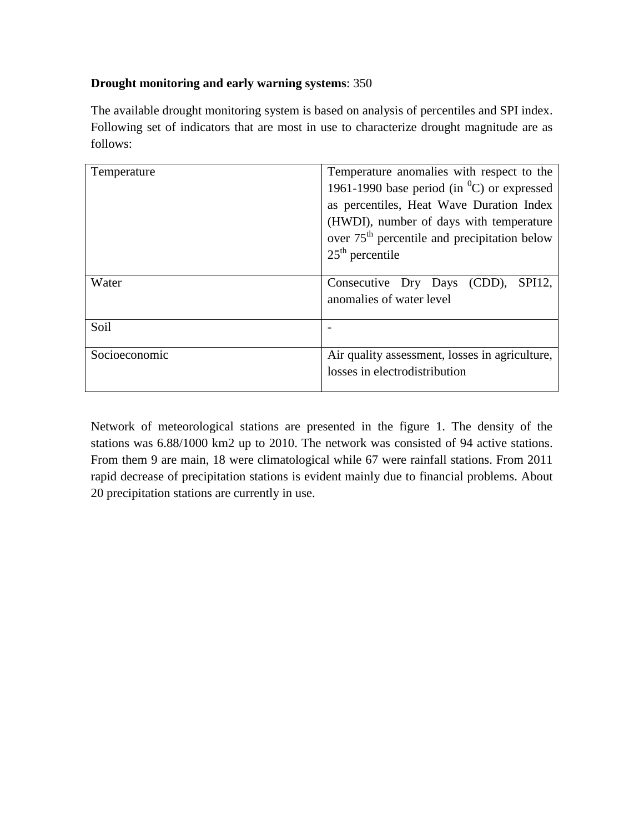## **Drought monitoring and early warning systems**: 350

The available drought monitoring system is based on analysis of percentiles and SPI index. Following set of indicators that are most in use to characterize drought magnitude are as follows:

| Temperature   | Temperature anomalies with respect to the<br>1961-1990 base period (in ${}^{0}C$ ) or expressed<br>as percentiles, Heat Wave Duration Index<br>(HWDI), number of days with temperature<br>over $75th$ percentile and precipitation below<br>$25th$ percentile |  |
|---------------|---------------------------------------------------------------------------------------------------------------------------------------------------------------------------------------------------------------------------------------------------------------|--|
| Water         | SPI12,<br>Consecutive Dry Days (CDD),<br>anomalies of water level                                                                                                                                                                                             |  |
| Soil          |                                                                                                                                                                                                                                                               |  |
| Socioeconomic | Air quality assessment, losses in agriculture,<br>losses in electrodistribution                                                                                                                                                                               |  |

Network of meteorological stations are presented in the figure 1. The density of the stations was 6.88/1000 km2 up to 2010. The network was consisted of 94 active stations. From them 9 are main, 18 were climatological while 67 were rainfall stations. From 2011 rapid decrease of precipitation stations is evident mainly due to financial problems. About 20 precipitation stations are currently in use.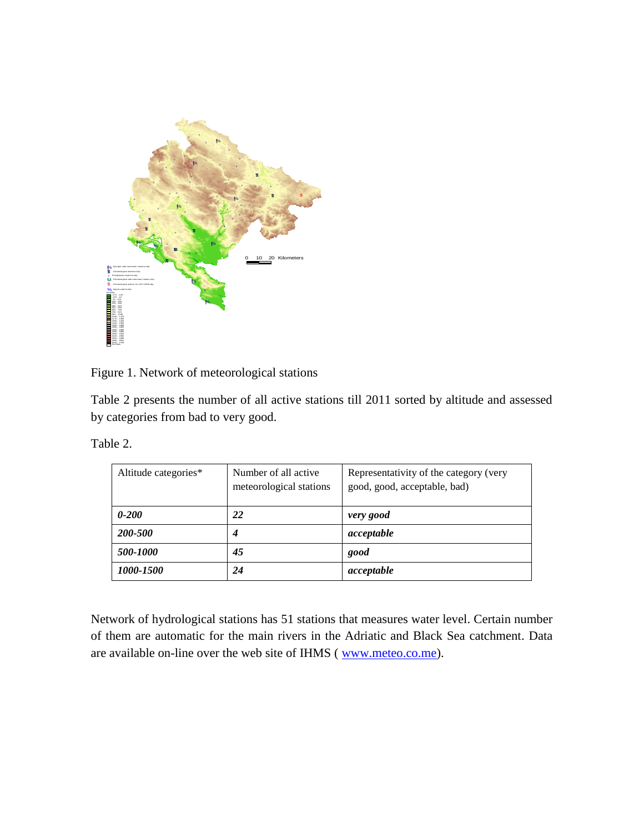

Figure 1. Network of meteorological stations

Table 2 presents the number of all active stations till 2011 sorted by altitude and assessed by categories from bad to very good.

Table 2.

| Altitude categories* | Number of all active<br>meteorological stations | Representativity of the category (very<br>good, good, acceptable, bad) |  |
|----------------------|-------------------------------------------------|------------------------------------------------------------------------|--|
| $0 - 200$            | 22                                              | very good                                                              |  |
| 200-500              |                                                 | acceptable                                                             |  |
| 500-1000             | 45                                              | good                                                                   |  |
| 1000-1500            | 24                                              | acceptable                                                             |  |

Network of hydrological stations has 51 stations that measures water level. Certain number of them are automatic for the main rivers in the Adriatic and Black Sea catchment. Data are available on-line over the web site of IHMS ( $\frac{www.meteo.co.me)}{www.meteo.co.me}$  $\frac{www.meteo.co.me)}{www.meteo.co.me}$  $\frac{www.meteo.co.me)}{www.meteo.co.me}$ ).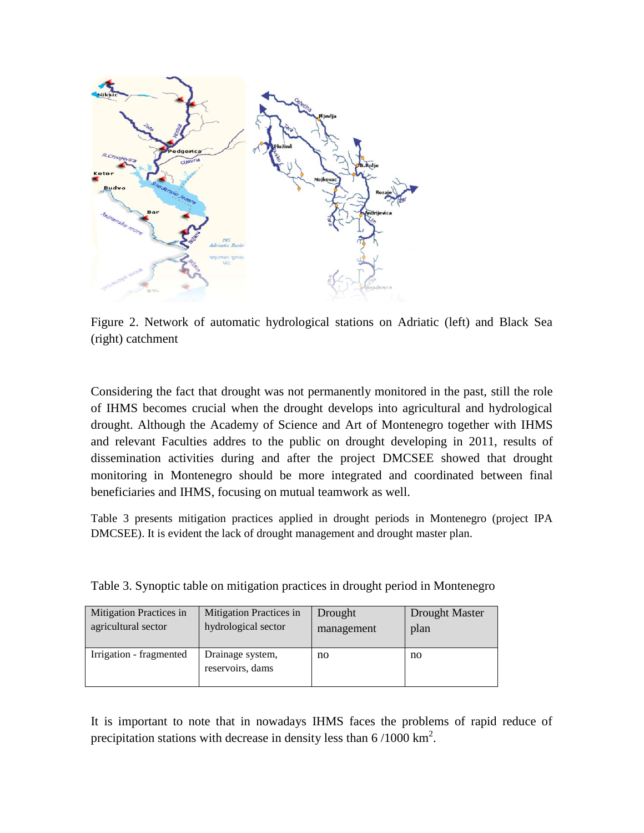

Figure 2. Network of automatic hydrological stations on Adriatic (left) and Black Sea (right) catchment

Considering the fact that drought was not permanently monitored in the past, still the role of IHMS becomes crucial when the drought develops into agricultural and hydrological drought. Although the Academy of Science and Art of Montenegro together with IHMS and relevant Faculties addres to the public on drought developing in 2011, results of dissemination activities during and after the project DMCSEE showed that drought monitoring in Montenegro should be more integrated and coordinated between final beneficiaries and IHMS, focusing on mutual teamwork as well.

Table 3 presents mitigation practices applied in drought periods in Montenegro (project IPA DMCSEE). It is evident the lack of drought management and drought master plan.

| Mitigation Practices in | Mitigation Practices in              | Drought    | Drought Master |
|-------------------------|--------------------------------------|------------|----------------|
| agricultural sector     | hydrological sector                  | management | plan           |
| Irrigation - fragmented | Drainage system,<br>reservoirs, dams | no         | no             |

Table 3. Synoptic table on mitigation practices in drought period in Montenegro

It is important to note that in nowadays IHMS faces the problems of rapid reduce of precipitation stations with decrease in density less than  $6/1000 \text{ km}^2$ .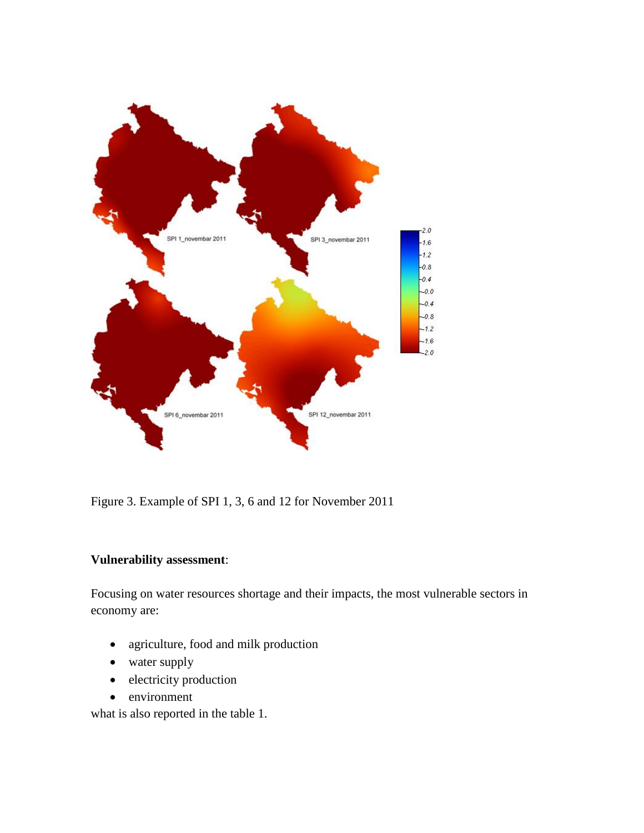

Figure 3. Example of SPI 1, 3, 6 and 12 for November 2011

## **Vulnerability assessment**:

Focusing on water resources shortage and their impacts, the most vulnerable sectors in economy are:

- agriculture, food and milk production
- water supply
- electricity production
- environment

what is also reported in the table 1.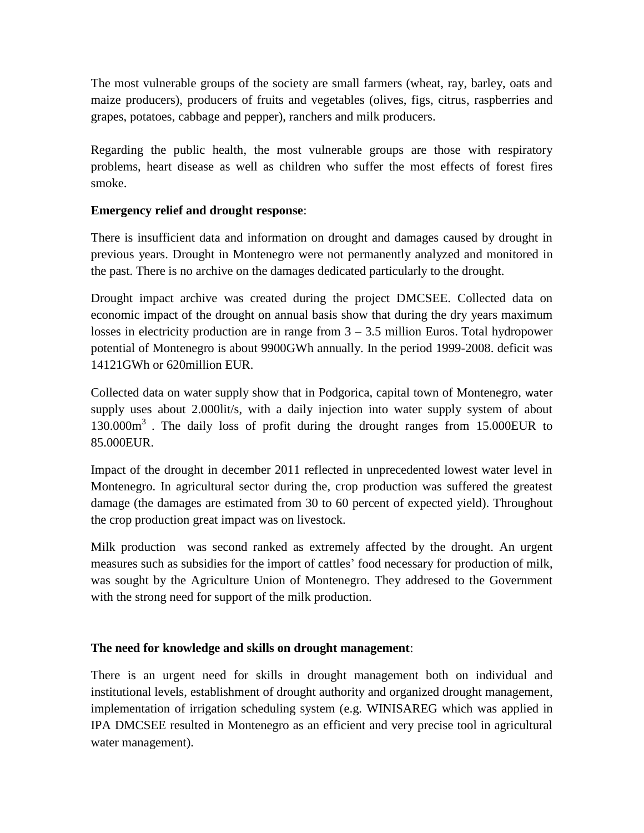The most vulnerable groups of the society are small farmers (wheat, ray, barley, oats and maize producers), producers of fruits and vegetables (olives, figs, citrus, raspberries and grapes, potatoes, cabbage and pepper), ranchers and milk producers.

Regarding the public health, the most vulnerable groups are those with respiratory problems, heart disease as well as children who suffer the most effects of forest fires smoke.

### **Emergency relief and drought response**:

There is insufficient data and information on drought and damages caused by drought in previous years. Drought in Montenegro were not permanently analyzed and monitored in the past. There is no archive on the damages dedicated particularly to the drought.

Drought impact archive was created during the project DMCSEE. Collected data on economic impact of the drought on annual basis show that during the dry years maximum losses in electricity production are in range from  $3 - 3.5$  million Euros. Total hydropower potential of Montenegro is about 9900GWh annually. In the period 1999-2008. deficit was 14121GWh or 620million EUR.

Collected data on water supply show that in Podgorica, capital town of Montenegro, water supply uses about 2.000lit/s, with a daily injection into water supply system of about 130.000m<sup>3</sup>. The daily loss of profit during the drought ranges from 15.000EUR to 85.000EUR.

Impact of the drought in december 2011 reflected in unprecedented lowest water level in Montenegro. In agricultural sector during the, crop production was suffered the greatest damage (the damages are estimated from 30 to 60 percent of expected yield). Throughout the crop production great impact was on livestock.

Milk production was second ranked as extremely affected by the drought. An urgent measures such as subsidies for the import of cattles' food necessary for production of milk, was sought by the Agriculture Union of Montenegro. They addresed to the Government with the strong need for support of the milk production.

### **The need for knowledge and skills on drought management**:

There is an urgent need for skills in drought management both on individual and institutional levels, establishment of drought authority and organized drought management, implementation of irrigation scheduling system (e.g. WINISAREG which was applied in IPA DMCSEE resulted in Montenegro as an efficient and very precise tool in agricultural water management).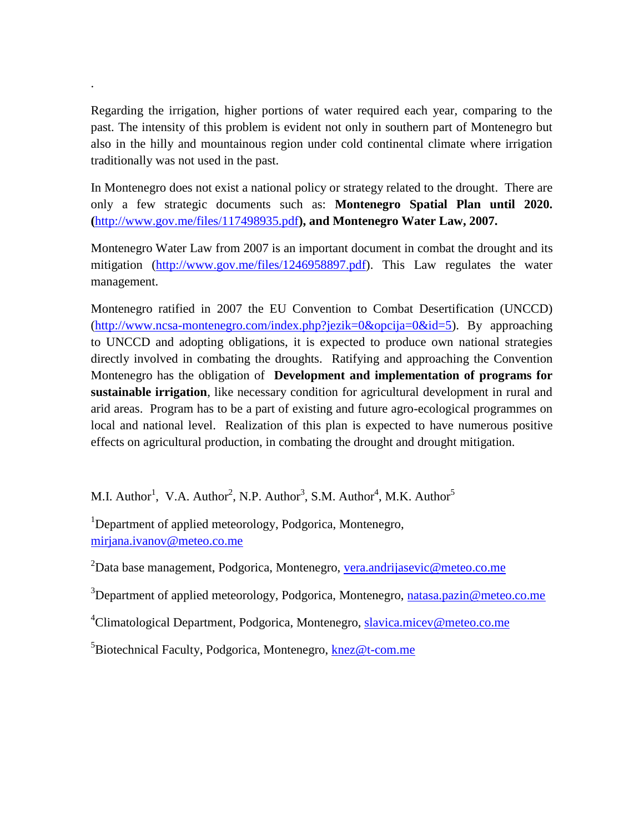Regarding the irrigation, higher portions of water required each year, comparing to the past. The intensity of this problem is evident not only in southern part of Montenegro but also in the hilly and mountainous region under cold continental climate where irrigation traditionally was not used in the past.

.

In Montenegro does not exist a national policy or strategy related to the drought. There are only a few strategic documents such as: **Montenegro Spatial Plan until 2020. (**<http://www.gov.me/files/117498935.pdf>**), and Montenegro Water Law, 2007.**

Montenegro Water Law from 2007 is an important document in combat the drought and its mitigation [\(http://www.gov.me/files/1246958897.pdf\)](http://www.gov.me/files/1246958897.pdf). This Law regulates the water management.

Montenegro ratified in 2007 the EU Convention to Combat Desertification (UNCCD) [\(http://www.ncsa-montenegro.com/index.php?jezik=0&opcija=0&id=5\)](http://www.ncsa-montenegro.com/index.php?jezik=0&opcija=0&id=5). By approaching to UNCCD and adopting obligations, it is expected to produce own national strategies directly involved in combating the droughts. Ratifying and approaching the Convention Montenegro has the obligation of **Development and implementation of programs for sustainable irrigation**, like necessary condition for agricultural development in rural and arid areas. Program has to be a part of existing and future agro-ecological programmes on local and national level. Realization of this plan is expected to have numerous positive effects on agricultural production, in combating the drought and drought mitigation.

M.I. Author<sup>1</sup>, V.A. Author<sup>2</sup>, N.P. Author<sup>3</sup>, S.M. Author<sup>4</sup>, M.K. Author<sup>5</sup>

<sup>1</sup>Department of applied meteorology, Podgorica, Montenegro, [mirjana.ivanov@meteo.co.me](mailto:mirjana.ivanov@meteo.co.me)

<sup>2</sup>Data base management, Podgorica, Montenegro, [vera.andrijasevic@meteo.co.me](mailto:vera.andrijasevic@meteo.co.me)

<sup>3</sup>Department of applied meteorology, Podgorica, Montenegro, [natasa.pazin@meteo.co.me](mailto:natasa.pazin@meteo.co.me)

<sup>4</sup>Climatological Department, Podgorica, Montenegro, [slavica.micev@meteo.co.me](mailto:slavica.micev@meteo.co.me)

<sup>5</sup>Biotechnical Faculty, Podgorica, Montenegro, [knez@t-com.me](mailto:knez@t-com.me)